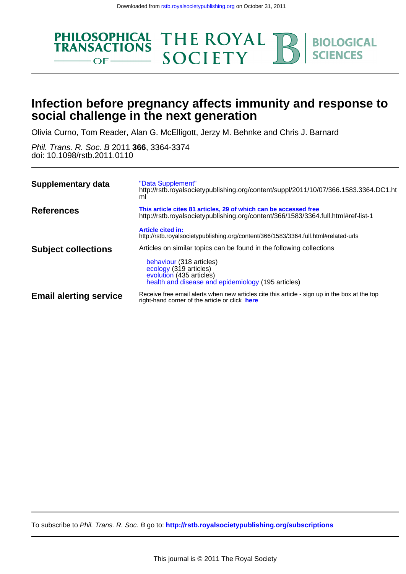

# **social challenge in the next generation Infection before pregnancy affects immunity and response to**

Olivia Curno, Tom Reader, Alan G. McElligott, Jerzy M. Behnke and Chris J. Barnard

doi: 10.1098/rstb.2011.0110 Phil. Trans. R. Soc. B 2011 **366**, 3364-3374

| <b>Supplementary data</b>     | "Data Supplement"<br>http://rstb.royalsocietypublishing.org/content/suppl/2011/10/07/366.1583.3364.DC1.ht<br>ml                                       |
|-------------------------------|-------------------------------------------------------------------------------------------------------------------------------------------------------|
| <b>References</b>             | This article cites 81 articles, 29 of which can be accessed free<br>http://rstb.royalsocietypublishing.org/content/366/1583/3364.full.html#ref-list-1 |
|                               | <b>Article cited in:</b><br>http://rstb.royalsocietypublishing.org/content/366/1583/3364.full.html#related-urls                                       |
| <b>Subject collections</b>    | Articles on similar topics can be found in the following collections                                                                                  |
|                               | behaviour (318 articles)<br>ecology (319 articles)<br>evolution (435 articles)<br>health and disease and epidemiology (195 articles)                  |
| <b>Email alerting service</b> | Receive free email alerts when new articles cite this article - sign up in the box at the top<br>right-hand corner of the article or click here       |
|                               |                                                                                                                                                       |

To subscribe to Phil. Trans. R. Soc. B go to: **<http://rstb.royalsocietypublishing.org/subscriptions>**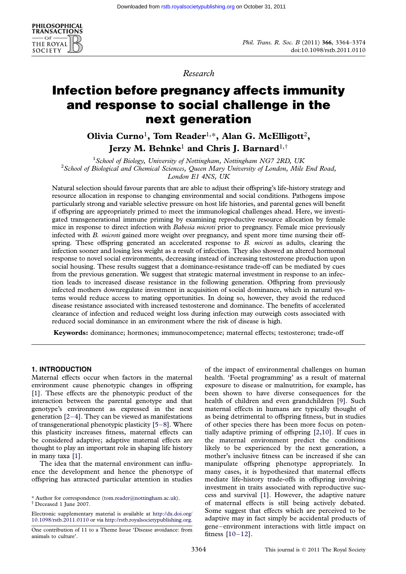

Research

# Infection before pregnancy affects immunity and response to social challenge in the next generation

Olivia Curno<sup>1</sup>, Tom Reader<sup>1,\*</sup>, Alan G. McElligott<sup>2</sup>, Jerzy M. Behnke<sup>1</sup> and Chris J. Barnard<sup>1,†</sup>

<sup>1</sup> School of Biology, University of Nottingham, Nottingham NG7 2RD, UK<br><sup>2</sup> School of Biological and Chamical Sciences, Ouam Mamy University of Landan, Mila <sup>2</sup> School of Biological and Chemical Sciences, Queen Mary University of London, Mile End Road, London E1 4NS, UK

Natural selection should favour parents that are able to adjust their offspring's life-history strategy and resource allocation in response to changing environmental and social conditions. Pathogens impose particularly strong and variable selective pressure on host life histories, and parental genes will benefit if offspring are appropriately primed to meet the immunological challenges ahead. Here, we investigated transgenerational immune priming by examining reproductive resource allocation by female mice in response to direct infection with *Babesia microti* prior to pregnancy. Female mice previously infected with B. *microti* gained more weight over pregnancy, and spent more time nursing their offspring. These offspring generated an accelerated response to B. microti as adults, clearing the infection sooner and losing less weight as a result of infection. They also showed an altered hormonal response to novel social environments, decreasing instead of increasing testosterone production upon social housing. These results suggest that a dominance-resistance trade-off can be mediated by cues from the previous generation. We suggest that strategic maternal investment in response to an infection leads to increased disease resistance in the following generation. Offspring from previously infected mothers downregulate investment in acquisition of social dominance, which in natural systems would reduce access to mating opportunities. In doing so, however, they avoid the reduced disease resistance associated with increased testosterone and dominance. The benefits of accelerated clearance of infection and reduced weight loss during infection may outweigh costs associated with reduced social dominance in an environment where the risk of disease is high.

Keywords: dominance; hormones; immunocompetence; maternal effects; testosterone; trade-off

### 1. INTRODUCTION

Maternal effects occur when factors in the maternal environment cause phenotypic changes in offspring [\[1](#page-9-0)]. These effects are the phenotypic product of the interaction between the parental genotype and that genotype's environment as expressed in the next generation  $[2-4]$  $[2-4]$  $[2-4]$ . They can be viewed as manifestations of transgenerational phenotypic plasticity [\[5](#page-9-0)–[8\]](#page-9-0). Where this plasticity increases fitness, maternal effects can be considered adaptive; adaptive maternal effects are thought to play an important role in shaping life history in many taxa [\[1\]](#page-9-0).

The idea that the maternal environment can influence the development and hence the phenotype of offspring has attracted particular attention in studies

\* Author for correspondence [\(tom.reader@nottingham.ac.uk\)](mailto:tom.reader@nottingham.ac.uk). † Deceased 1 June 2007.

Electronic supplementary material is available at [http://dx.doi.org/](http://dx.doi.org/10.1098/rstb.2011.0110) [10.1098/rstb.2011.0110](http://dx.doi.org/10.1098/rstb.2011.0110) or via [http://rstb.royalsocietypublishing.org.](http://rstb.royalsocietypublishing.org)

of the impact of environmental challenges on human health. 'Foetal programming' as a result of maternal exposure to disease or malnutrition, for example, has been shown to have diverse consequences for the health of children and even grandchildren [[9](#page-9-0)]. Such maternal effects in humans are typically thought of as being detrimental to offspring fitness, but in studies of other species there has been more focus on potentially adaptive priming of offspring [\[2,10\]](#page-9-0). If cues in the maternal environment predict the conditions likely to be experienced by the next generation, a mother's inclusive fitness can be increased if she can manipulate offspring phenotype appropriately. In many cases, it is hypothesized that maternal effects mediate life-history trade-offs in offspring involving investment in traits associated with reproductive success and survival [[1](#page-9-0)]. However, the adaptive nature of maternal effects is still being actively debated. Some suggest that effects which are perceived to be adaptive may in fact simply be accidental products of gene–environment interactions with little impact on fitness [[10](#page-9-0)–[12\]](#page-9-0).

One contribution of 11 to a Theme Issue 'Disease avoidance: from animals to culture'.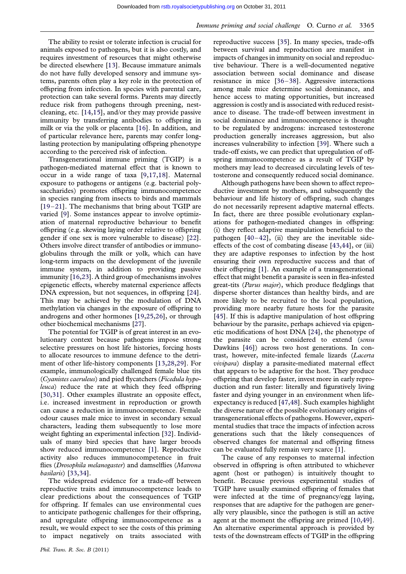The ability to resist or tolerate infection is crucial for animals exposed to pathogens, but it is also costly, and requires investment of resources that might otherwise be directed elsewhere [\[13](#page-9-0)]. Because immature animals do not have fully developed sensory and immune systems, parents often play a key role in the protection of offspring from infection. In species with parental care, protection can take several forms. Parents may directly reduce risk from pathogens through preening, nestcleaning, etc. [[14,15](#page-9-0)], and/or they may provide passive immunity by transferring antibodies to offspring in milk or via the yolk or placenta [\[16\]](#page-9-0). In addition, and of particular relevance here, parents may confer longlasting protection by manipulating offspring phenotype according to the perceived risk of infection.

Transgenerational immune priming (TGIP) is a pathogen-mediated maternal effect that is known to occur in a wide range of taxa [[9,17,18\]](#page-9-0). Maternal exposure to pathogens or antigens (e.g. bacterial polysaccharides) promotes offspring immunocompetence in species ranging from insects to birds and mammals [[19](#page-9-0)–[21\]](#page-9-0). The mechanisms that bring about TGIP are varied [[9](#page-9-0)]. Some instances appear to involve optimization of maternal reproductive behaviour to benefit offspring (e.g. skewing laying order relative to offspring gender if one sex is more vulnerable to disease) [\[22](#page-9-0)]. Others involve direct transfer of antibodies or immunoglobulins through the milk or yolk, which can have long-term impacts on the development of the juvenile immune system, in addition to providing passive immunity [\[16,23\]](#page-9-0). A third group of mechanisms involves epigenetic effects, whereby maternal experience affects DNA expression, but not sequences, in offspring [[24](#page-9-0)]. This may be achieved by the modulation of DNA methylation via changes in the exposure of offspring to androgens and other hormones [[19,25,26\]](#page-9-0), or through other biochemical mechanisms [\[27\]](#page-9-0).

The potential for TGIP is of great interest in an evolutionary context because pathogens impose strong selective pressures on host life histories, forcing hosts to allocate resources to immune defence to the detriment of other life-history components [\[13,28,29\]](#page-9-0). For example, immunologically challenged female blue tits (Cyanistes caeruleus) and pied flycatchers (Ficedula hypoleuca) reduce the rate at which they feed offspring [[30,31](#page-9-0)]. Other examples illustrate an opposite effect, i.e. increased investment in reproduction or growth can cause a reduction in immunocompetence. Female odour causes male mice to invest in secondary sexual characters, leading them subsequently to lose more weight fighting an experimental infection [\[32](#page-9-0)]. Individuals of many bird species that have larger broods show reduced immunocompetence [\[1](#page-9-0)]. Reproductive activity also reduces immunocompetence in fruit flies (Drosophila melanogaster) and damselflies (Matrona basilaris) [\[33,34\]](#page-10-0).

The widespread evidence for a trade-off between reproductive traits and immunocompetence leads to clear predictions about the consequences of TGIP for offspring. If females can use environmental cues to anticipate pathogenic challenges for their offspring, and upregulate offspring immunocompetence as a result, we would expect to see the costs of this priming to impact negatively on traits associated with

reproductive success [\[35](#page-10-0)]. In many species, trade-offs between survival and reproduction are manifest in impacts of changes in immunity on social and reproductive behaviour. There is a well-documented negative association between social dominance and disease resistance in mice [[36](#page-10-0)–[38\]](#page-10-0). Aggressive interactions among male mice determine social dominance, and hence access to mating opportunities, but increased aggression is costly and is associated with reduced resistance to disease. The trade-off between investment in social dominance and immunocompetence is thought to be regulated by androgens: increased testosterone production generally increases aggression, but also increases vulnerability to infection [\[39](#page-10-0)]. Where such a trade-off exists, we can predict that upregulation of offspring immunocompetence as a result of TGIP by mothers may lead to decreased circulating levels of testosterone and consequently reduced social dominance.

Although pathogens have been shown to affect reproductive investment by mothers, and subsequently the behaviour and life history of offspring, such changes do not necessarily represent adaptive maternal effects. In fact, there are three possible evolutionary explanations for pathogen-mediated changes in offspring: (i) they reflect adaptive manipulation beneficial to the pathogen  $[40-42]$  $[40-42]$  $[40-42]$  $[40-42]$ , (ii) they are the inevitable sideeffects of the cost of combating disease [\[43,44\]](#page-10-0), or (iii) they are adaptive responses to infection by the host ensuring their own reproductive success and that of their offspring [\[1\]](#page-9-0). An example of a transgenerational effect that might benefit a parasite is seen in flea-infested great-tits (Parus major), which produce fledglings that disperse shorter distances than healthy birds, and are more likely to be recruited to the local population, providing more nearby future hosts for the parasite [[45\]](#page-10-0). If this is adaptive manipulation of host offspring behaviour by the parasite, perhaps achieved via epigenetic modifications of host DNA [\[24](#page-9-0)], the phenotype of the parasite can be considered to extend (sensu Dawkins [\[46](#page-10-0)]) across two host generations. In contrast, however, mite-infected female lizards (Lacerta vivipara) display a parasite-mediated maternal effect that appears to be adaptive for the host. They produce offspring that develop faster, invest more in early reproduction and run faster: literally and figuratively living faster and dying younger in an environment when lifeexpectancy is reduced [[47,48\]](#page-10-0). Such examples highlight the diverse nature of the possible evolutionary origins of transgenerational effects of pathogens. However, experimental studies that trace the impacts of infection across generations such that the likely consequences of observed changes for maternal and offspring fitness can be evaluated fully remain very scarce [[1](#page-9-0)].

The cause of any responses to maternal infection observed in offspring is often attributed to whichever agent (host or pathogen) is intuitively thought to benefit. Because previous experimental studies of TGIP have usually examined offspring of females that were infected at the time of pregnancy/egg laying, responses that are adaptive for the pathogen are generally very plausible, since the pathogen is still an active agent at the moment the offspring are primed [[10](#page-9-0)[,49](#page-10-0)]. An alternative experimental approach is provided by tests of the downstream effects of TGIP in the offspring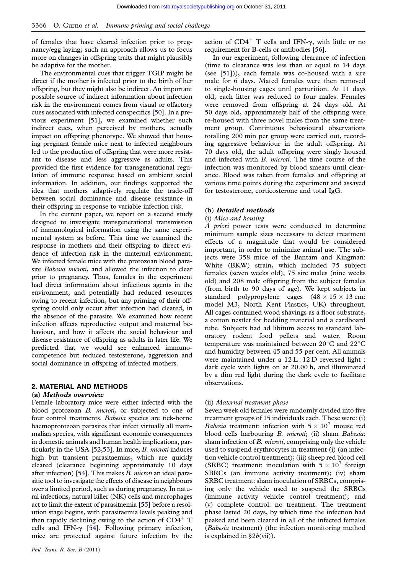of females that have cleared infection prior to pregnancy/egg laying; such an approach allows us to focus more on changes in offspring traits that might plausibly be adaptive for the mother.

The environmental cues that trigger TGIP might be direct if the mother is infected prior to the birth of her offspring, but they might also be indirect. An important possible source of indirect information about infection risk in the environment comes from visual or olfactory cues associated with infected conspecifics [[50](#page-10-0)]. In a previous experiment [[51\]](#page-10-0), we examined whether such indirect cues, when perceived by mothers, actually impact on offspring phenotype. We showed that housing pregnant female mice next to infected neighbours led to the production of offspring that were more resistant to disease and less aggressive as adults. This provided the first evidence for transgenerational regulation of immune response based on ambient social information. In addition, our findings supported the idea that mothers adaptively regulate the trade-off between social dominance and disease resistance in their offspring in response to variable infection risk.

In the current paper, we report on a second study designed to investigate transgenerational transmission of immunological information using the same experimental system as before. This time we examined the response in mothers and their offspring to direct evidence of infection risk in the maternal environment. We infected female mice with the protozoan blood parasite Babesia microti, and allowed the infection to clear prior to pregnancy. Thus, females in the experiment had direct information about infectious agents in the environment, and potentially had reduced resources owing to recent infection, but any priming of their offspring could only occur after infection had cleared, in the absence of the parasite. We examined how recent infection affects reproductive output and maternal behaviour, and how it affects the social behaviour and disease resistance of offspring as adults in later life. We predicted that we would see enhanced immunocompetence but reduced testosterone, aggression and social dominance in offspring of infected mothers.

### 2. MATERIAL AND METHODS

#### (a) Methods overview

Female laboratory mice were either infected with the blood protozoan B. microti, or subjected to one of four control treatments. Babesia species are tick-borne haemoprotozoan parasites that infect virtually all mammalian species, with significant economic consequences in domestic animals and human health implications, particularly in the USA [\[52,53](#page-10-0)]. In mice, B. microti induces high but transient parasitaemias, which are quickly cleared (clearance beginning approximately 10 days after infection) [\[54](#page-10-0)]. This makes B. microti an ideal parasitic tool to investigate the effects of disease in neighbours over a limited period, such as during pregnancy. In natural infections, natural killer (NK) cells and macrophages act to limit the extent of parasitaemia [[55](#page-10-0)] before a resolution stage begins, with parasitaemia levels peaking and then rapidly declining owing to the action of  $CD4^+$  T cells and IFN- $\gamma$  [[54](#page-10-0)]. Following primary infection, mice are protected against future infection by the

action of  $CD4^+$  T cells and IFN- $\gamma$ , with little or no requirement for B-cells or antibodies [[56\]](#page-10-0).

In our experiment, following clearance of infection (time to clearance was less than or equal to 14 days (see [\[51](#page-10-0)])), each female was co-housed with a sire male for 6 days. Mated females were then removed to single-housing cages until parturition. At 11 days old, each litter was reduced to four males. Females were removed from offspring at 24 days old. At 50 days old, approximately half of the offspring were re-housed with three novel males from the same treatment group. Continuous behavioural observations totalling 200 min per group were carried out, recording aggressive behaviour in the adult offspring. At 70 days old, the adult offspring were singly housed and infected with B. microti. The time course of the infection was monitored by blood smears until clearance. Blood was taken from females and offspring at various time points during the experiment and assayed for testosterone, corticosterone and total IgG.

#### (b) Detailed methods

#### (i) Mice and housing

A priori power tests were conducted to determine minimum sample sizes necessary to detect treatment effects of a magnitude that would be considered important, in order to minimize animal use. The subjects were 358 mice of the Bantam and Kingman: White (BKW) strain, which included 75 subject females (seven weeks old), 75 sire males (nine weeks old) and 208 male offspring from the subject females (from birth to 90 days of age). We kept subjects in standard polypropylene cages  $(48 \times 15 \times 13 \text{ cm})$ : model M3, North Kent Plastics, UK) throughout. All cages contained wood shavings as a floor substrate, a cotton nestlet for bedding material and a cardboard tube. Subjects had ad libitum access to standard laboratory rodent food pellets and water. Room temperature was maintained between  $20^{\circ}$ C and  $22^{\circ}$ C and humidity between 45 and 55 per cent. All animals were maintained under a 12 L : 12 D reversed light : dark cycle with lights on at 20.00 h, and illuminated by a dim red light during the dark cycle to facilitate observations.

#### (ii) Maternal treatment phase

Seven week old females were randomly divided into five treatment groups of 15 individuals each. These were: (i) Babesia treatment: infection with  $5 \times 10^7$  mouse red blood cells harbouring B. microti; (ii) sham Babesia: sham infection of B. *microti*, comprising only the vehicle used to suspend erythrocytes in treatment (i) (an infection vehicle control treatment); (iii) sheep red blood cell (SRBC) treatment: inoculation with  $5 \times 10^7$  foreign SBRCs (an immune activity treatment); (iv) sham SRBC treatment: sham inoculation of SRBCs, comprising only the vehicle used to suspend the SRBCs (immune activity vehicle control treatment); and (v) complete control: no treatment. The treatment phase lasted 20 days, by which time the infection had peaked and been cleared in all of the infected females (Babesia treatment) (the infection monitoring method is explained in  $\S2b$ (vii)).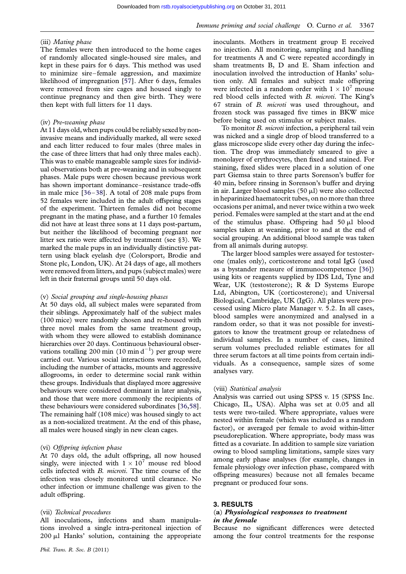## (iii) Mating phase

The females were then introduced to the home cages of randomly allocated single-housed sire males, and kept in these pairs for 6 days. This method was used to minimize sire–female aggression, and maximize likelihood of impregnation [[57\]](#page-10-0). After 6 days, females were removed from sire cages and housed singly to continue pregnancy and then give birth. They were then kept with full litters for 11 days.

### (iv) Pre-weaning phase

At 11 days old, when pups could be reliably sexed by noninvasive means and individually marked, all were sexed and each litter reduced to four males (three males in the case of three litters that had only three males each). This was to enable manageable sample sizes for individual observations both at pre-weaning and in subsequent phases. Male pups were chosen because previous work has shown important dominance–resistance trade-offs in male mice [\[36](#page-10-0)–[38](#page-10-0)]. A total of 208 male pups from 52 females were included in the adult offspring stages of the experiment. Thirteen females did not become pregnant in the mating phase, and a further 10 females did not have at least three sons at 11 days post-partum, but neither the likelihood of becoming pregnant nor litter sex ratio were affected by treatment (see §3). We marked the male pups in an individually distinctive pattern using black eyelash dye (Colorsport, Brodie and Stone plc, London, UK). At 24 days of age, all mothers were removed from litters, and pups (subject males) were left in their fraternal groups until 50 days old.

#### (v) Social grouping and single-housing phases

At 50 days old, all subject males were separated from their siblings. Approximately half of the subject males (100 mice) were randomly chosen and re-housed with three novel males from the same treatment group, with whom they were allowed to establish dominance hierarchies over 20 days. Continuous behavioural observations totalling 200 min  $(10 \text{ min d}^{-1})$  per group were carried out. Various social interactions were recorded, including the number of attacks, mounts and aggressive allogrooms, in order to determine social rank within these groups. Individuals that displayed more aggressive behaviours were considered dominant in later analysis, and those that were more commonly the recipients of these behaviours were considered subordinates [[36,58](#page-10-0)]. The remaining half (108 mice) was housed singly to act as a non-socialized treatment. At the end of this phase, all males were housed singly in new clean cages.

#### (vi) Offspring infection phase

At 70 days old, the adult offspring, all now housed singly, were injected with  $1 \times 10^7$  mouse red blood cells infected with B. microti. The time course of the infection was closely monitored until clearance. No other infection or immune challenge was given to the adult offspring.

#### (vii) Technical procedures

All inoculations, infections and sham manipulations involved a single intra-peritoneal injection of  $200 \mu l$  Hanks' solution, containing the appropriate

inoculants. Mothers in treatment group E received no injection. All monitoring, sampling and handling for treatments A and C were repeated accordingly in sham treatments B, D and E. Sham infection and inoculation involved the introduction of Hanks' solution only. All females and subject male offspring were infected in a random order with  $1 \times 10^7$  mouse red blood cells infected with B. microti. The King's 67 strain of B. microti was used throughout, and frozen stock was passaged five times in BKW mice before being used on stimulus or subject males.

To monitor *B. microti* infection, a peripheral tail vein was nicked and a single drop of blood transferred to a glass microscope slide every other day during the infection. The drop was immediately smeared to give a monolayer of erythrocytes, then fixed and stained. For staining, fixed slides were placed in a solution of one part Giemsa stain to three parts Sorenson's buffer for 40 min, before rinsing in Sorenson's buffer and drying in air. Larger blood samples  $(50 \mu l)$  were also collected in heparinized haematocrit tubes, on no more than three occasions per animal, and never twice within a two week period. Females were sampled at the start and at the end of the stimulus phase. Offspring had  $50 \mu l$  blood samples taken at weaning, prior to and at the end of social grouping. An additional blood sample was taken from all animals during autopsy.

The larger blood samples were assayed for testosterone (males only), corticosterone and total IgG (used as a bystander measure of immunocompetence [\[36](#page-10-0)]) using kits or reagents supplied by IDS Ltd, Tyne and Wear, UK (testosterone); R & D Systems Europe Ltd, Abington, UK (corticosterone); and Universal Biological, Cambridge, UK (IgG). All plates were processed using Micro plate Manager v. 5.2. In all cases, blood samples were anonymized and analysed in a random order, so that it was not possible for investigators to know the treatment group or relatedness of individual samples. In a number of cases, limited serum volumes precluded reliable estimates for all three serum factors at all time points from certain individuals. As a consequence, sample sizes of some analyses vary.

#### (viii) Statistical analysis

Analysis was carried out using SPSS v. 15 (SPSS Inc. Chicago, IL, USA). Alpha was set at 0.05 and all tests were two-tailed. Where appropriate, values were nested within female (which was included as a random factor), or averaged per female to avoid within-litter pseudoreplication. Where appropriate, body mass was fitted as a covariate. In addition to sample size variation owing to blood sampling limitations, sample sizes vary among early phase analyses (for example, changes in female physiology over infection phase, compared with offspring measures) because not all females became pregnant or produced four sons.

#### 3. RESULTS

### (a) Physiological responses to treatment in the female

Because no significant differences were detected among the four control treatments for the response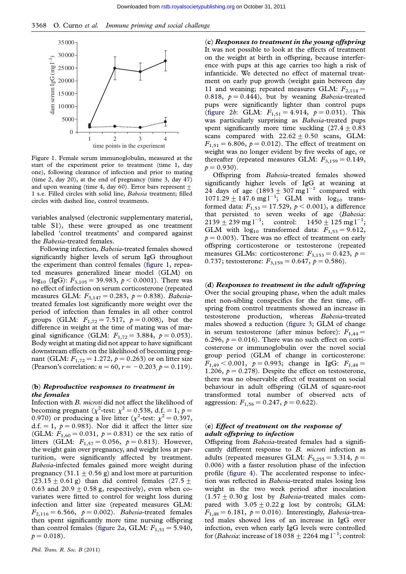

Figure 1. Female serum immunoglobulin, measured at the start of the experiment prior to treatment (time 1, day one), following clearance of infection and prior to mating (time 2, day 20), at the end of pregnancy (time 3, day 47) and upon weaning (time 4, day 60). Error bars represent  $\pm$ 1 s.e. Filled circles with solid line, Babesia treatment; filled circles with dashed line, control treatments.

variables analysed (electronic supplementary material, table S1), these were grouped as one treatment labelled 'control treatments' and compared against the Babesia-treated females.

Following infection, Babesia-treated females showed significantly higher levels of serum IgG throughout the experiment than control females (figure 1, repeated measures generalized linear model (GLM) on  $log_{10}$  (IgG):  $F_{3,105} = 39.983$ ,  $p < 0.0001$ ). There was no effect of infection on serum corticosterone (repeated measures GLM:  $F_{3,147} = 0.283$ ,  $p = 0.838$ ). Babesiatreated females lost significantly more weight over the period of infection than females in all other control groups (GLM:  $F_{1,72} = 7.517$ ,  $p = 0.008$ ), but the difference in weight at the time of mating was of marginal significance (GLM:  $F_{1,72} = 3.884$ ,  $p = 0.053$ ). Body weight at mating did not appear to have significant downstream effects on the likelihood of becoming pregnant (GLM:  $F_{1,72} = 1.272$ ,  $p = 0.263$ ) or on litter size (Pearson's correlation:  $n = 60$ ,  $r = -0.203$ ,  $p = 0.119$ ).

#### (b) Reproductive responses to treatment in the females

Infection with B. microti did not affect the likelihood of becoming pregnant ( $\chi^2$ -test:  $\chi^2 = 0.538$ , d.f. = 1, p = 0.970) or producing a live litter ( $\chi^2$ -test:  $\chi^2 = 0.397$ , d.f.  $= 1$ ,  $p = 0.983$ ). Nor did it affect the litter size (GLM:  $F_{1,60} = 0.031$ ,  $p = 0.831$ ) or the sex ratio of litters (GLM:  $F_{1,57} = 0.056$ ,  $p = 0.813$ ). However, the weight gain over pregnancy, and weight loss at parturition, were significantly affected by treatment. Babesia-infected females gained more weight during pregnancy (31.1  $\pm$  0.56 g) and lost more at parturition  $(23.15 \pm 0.61 \text{ g})$  than did control females  $(27.5 \pm 0.61 \text{ g})$ 0.63 and 20.9  $\pm$  0.58 g, respectively), even when covariates were fitted to control for weight loss during infection and litter size (repeated measures GLM:  $F_{2,116} = 6.566, p = 0.002$ . Babesia-treated females then spent significantly more time nursing offspring than control females [\(figure 2](#page-6-0)a, GLM:  $F_{1,51} = 5.940$ ,  $p = 0.018$ .

(c) Responses to treatment in the young offspring It was not possible to look at the effects of treatment on the weight at birth in offspring, because interference with pups at this age carries too high a risk of infanticide. We detected no effect of maternal treatment on early pup growth (weight gain between day 11 and weaning; repeated measures GLM:  $F_{2,114} =$ 0.818,  $p = 0.444$ ), but by weaning *Babesia*-treated pups were significantly lighter than control pups [\(figure 2](#page-6-0)b: GLM:  $F_{1,51} = 4.914$ ,  $p = 0.031$ ). This was particularly surprising as Babesia-treated pups spent significantly more time suckling  $(27.4 \pm 0.83)$ scans compared with  $22.62 + 0.50$  scans, GLM:  $F_{1,51} = 6.806, p = 0.012$ . The effect of treatment on weight was no longer evident by five weeks of age, or thereafter (repeated measures GLM:  $F_{3,159} = 0.149$ ,  $p = 0.930$ .

Offspring from Babesia-treated females showed significantly higher levels of IgG at weaning at 24 days of age (1893  $\pm$  307 mg l<sup>-1</sup> compared with  $1071.29 \pm 147.6$  mg l<sup>-1</sup>; GLM with log<sub>10</sub> transformed data:  $F_{1,53} = 17.529, p < 0.001$ ), a difference that persisted to seven weeks of age (Babesia:  $2139 \pm 239$  mg l<sup>-1</sup>; control:  $1450 \pm 125$  mg l<sup>-1</sup>; GLM with  $log_{10}$  transformed data:  $F_{1,53} = 9.612$ ,  $p = 0.003$ ). There was no effect of treatment on early offspring corticosterone or testosterone (repeated measures GLMs: corticosterone:  $F_{3,153} = 0.423$ ,  $p =$ 0.737; testosterone:  $F_{3,159} = 0.647$ ,  $p = 0.586$ ).

(d) Responses to treatment in the adult offspring Over the social grouping phase, when the adult males met non-sibling conspecifics for the first time, offspring from control treatments showed an increase in testosterone production, whereas Babesia-treated males showed a reduction [\(figure 3;](#page-6-0) GLM of change in serum testosterone (after minus before):  $F_{1,44} =$ 6.296,  $p = 0.016$ . There was no such effect on corticosterone or immunoglobulin over the novel social group period (GLM of change in corticosterone:  $F_{1,49}$  < 0.001,  $p = 0.993$ ; change in IgG:  $F_{1,48}$  = 1.206,  $p = 0.278$ ). Despite the effect on testosterone, there was no observable effect of treatment on social behaviour in adult offspring (GLM of square-root transformed total number of observed acts of aggression:  $F_{1,56} = 0.247$ ,  $p = 0.622$ ).

### (e) Effect of treatment on the response of adult offspring to infection

Offspring from Babesia-treated females had a significantly different response to B. microti infection as adults (repeated measures GLM:  $F_{5,255} = 3.314$ ,  $p =$ 0.006) with a faster resolution phase of the infection profile [\(figure 4](#page-6-0)). The accelerated response to infection was reflected in Babesia-treated males losing less weight in the two week period after inoculation  $(1.57\pm0.30 \text{ g}$  lost by *Babesia*-treated males compared with  $3.05 + 0.22$  g lost by controls; GLM:  $F_{1,48} = 6.181$ ,  $p = 0.016$ ). Interestingly, Babesia-treated males showed less of an increase in IgG over infection, even when early IgG levels were controlled for (*Babesia*: increase of 18 038  $\pm$  2264 mg l<sup>-1</sup>; control: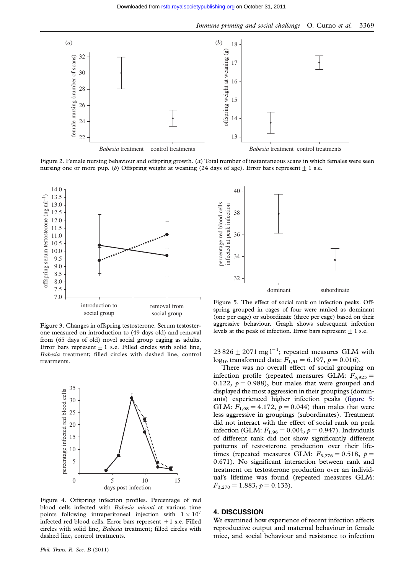Immune priming and social challenge O. Curno et al. 3369

<span id="page-6-0"></span>

Figure 2. Female nursing behaviour and offspring growth. (a) Total number of instantaneous scans in which females were seen nursing one or more pup. (b) Offspring weight at weaning (24 days of age). Error bars represent  $\pm$  1 s.e.



Figure 3. Changes in offspring testosterone. Serum testosterone measured on introduction to (49 days old) and removal from (65 days of old) novel social group caging as adults. Error bars represent  $\pm 1$  s.e. Filled circles with solid line, Babesia treatment; filled circles with dashed line, control treatments.



Figure 4. Offspring infection profiles. Percentage of red blood cells infected with Babesia microti at various time points following intraperitoneal injection with  $1 \times 10^7$ infected red blood cells. Error bars represent  $\pm 1$  s.e. Filled circles with solid line, Babesia treatment; filled circles with dashed line, control treatments.



Figure 5. The effect of social rank on infection peaks. Offspring grouped in cages of four were ranked as dominant (one per cage) or subordinate (three per cage) based on their aggressive behaviour. Graph shows subsequent infection levels at the peak of infection. Error bars represent  $\pm$  1 s.e.

23 826  $\pm$  2071 mg l<sup>-1</sup>; repeated measures GLM with  $log_{10}$  transformed data:  $F_{1,51} = 6.197, p = 0.016$ .

There was no overall effect of social grouping on infection profile (repeated measures GLM:  $F_{5,925}$  = 0.122,  $p = 0.988$ , but males that were grouped and displayed the most aggression in their groupings (dominants) experienced higher infection peaks (figure 5: GLM:  $F_{1.98} = 4.172$ ,  $p = 0.044$ ) than males that were less aggressive in groupings (subordinates). Treatment did not interact with the effect of social rank on peak infection (GLM:  $F_{1,96} = 0.004$ ,  $p = 0.947$ ). Individuals of different rank did not show significantly different patterns of testosterone production over their lifetimes (repeated measures GLM:  $F_{3,276} = 0.518$ ,  $p =$ 0.671). No significant interaction between rank and treatment on testosterone production over an individual's lifetime was found (repeated measures GLM:  $F_{3,270} = 1.883, p = 0.133$ .

## 4. DISCUSSION

We examined how experience of recent infection affects reproductive output and maternal behaviour in female mice, and social behaviour and resistance to infection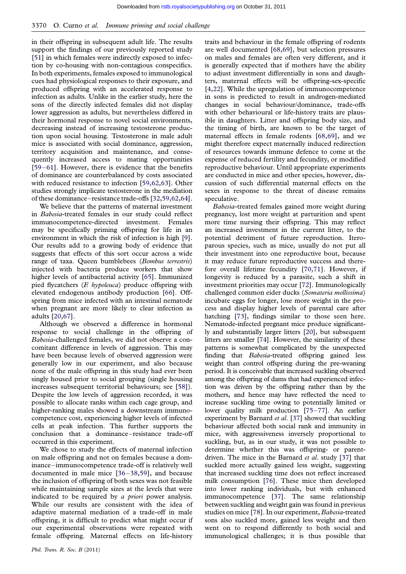in their offspring in subsequent adult life. The results support the findings of our previously reported study [\[51\]](#page-10-0) in which females were indirectly exposed to infection by co-housing with non-contagious conspecifics. In both experiments, females exposed to immunological cues had physiological responses to their exposure, and produced offspring with an accelerated response to infection as adults. Unlike in the earlier study, here the sons of the directly infected females did not display lower aggression as adults, but nevertheless differed in their hormonal response to novel social environments, decreasing instead of increasing testosterone production upon social housing. Testosterone in male adult mice is associated with social dominance, aggression, territory acquisition and maintenance, and consequently increased access to mating opportunities [\[59](#page-10-0)–[61\]](#page-10-0). However, there is evidence that the benefits of dominance are counterbalanced by costs associated with reduced resistance to infection [\[59,62,63\]](#page-10-0). Other studies strongly implicate testosterone in the mediation of these dominance–resistance trade-offs [[32](#page-9-0)[,59,62](#page-10-0),[64\]](#page-10-0).

We believe that the patterns of maternal investment in Babesia-treated females in our study could reflect immunocompetence-directed investment. Females may be specifically priming offspring for life in an environment in which the risk of infection is high [\[9\]](#page-9-0). Our results add to a growing body of evidence that suggests that effects of this sort occur across a wide range of taxa. Queen bumblebees (Bombus terrestris) injected with bacteria produce workers that show higher levels of antibacterial activity [\[65](#page-10-0)]. Immunized pied flycatchers (*F. hypoleuca*) produce offspring with elevated endogenous antibody production [[66\]](#page-10-0). Offspring from mice infected with an intestinal nematode when pregnant are more likely to clear infection as adults [[20,](#page-9-0)[67\]](#page-10-0).

Although we observed a difference in hormonal response to social challenge in the offspring of Babesia-challenged females, we did not observe a concomitant difference in levels of aggression. This may have been because levels of observed aggression were generally low in our experiment, and also because none of the male offspring in this study had ever been singly housed prior to social grouping (single housing increases subsequent territorial behaviours; see [[58\]](#page-10-0)). Despite the low levels of aggression recorded, it was possible to allocate ranks within each cage group, and higher-ranking males showed a downstream immunocompetence cost, experiencing higher levels of infected cells at peak infection. This further supports the conclusion that a dominance–resistance trade-off occurred in this experiment.

We chose to study the effects of maternal infection on male offspring and not on females because a dominance–immunocompetence trade-off is relatively well documented in male mice [[36](#page-10-0)–[38,59\]](#page-10-0), and because the inclusion of offspring of both sexes was not feasible while maintaining sample sizes at the levels that were indicated to be required by a *priori* power analysis. While our results are consistent with the idea of adaptive maternal mediation of a trade-off in male offspring, it is difficult to predict what might occur if our experimental observations were repeated with female offspring. Maternal effects on life-history

traits and behaviour in the female offspring of rodents are well documented [\[68,69](#page-11-0)], but selection pressures on males and females are often very different, and it is generally expected that if mothers have the ability to adjust investment differentially in sons and daughters, maternal effects will be offspring-sex-specific [\[4,22\]](#page-9-0). While the upregulation of immunocompetence in sons is predicted to result in androgen-mediated changes in social behaviour/dominance, trade-offs with other behavioural or life-history traits are plausible in daughters. Litter and offspring body size, and the timing of birth, are known to be the target of maternal effects in female rodents [\[68,69](#page-11-0)], and we might therefore expect maternally induced redirection of resources towards immune defence to come at the expense of reduced fertility and fecundity, or modified reproductive behaviour. Until appropriate experiments are conducted in mice and other species, however, discussion of such differential maternal effects on the sexes in response to the threat of disease remains speculative.

Babesia-treated females gained more weight during pregnancy, lost more weight at parturition and spent more time nursing their offspring. This may reflect an increased investment in the current litter, to the potential detriment of future reproduction. Iteroparous species, such as mice, usually do not put all their investment into one reproductive bout, because it may reduce future reproductive success and therefore overall lifetime fecundity [[70,71\]](#page-11-0). However, if longevity is reduced by a parasite, such a shift in investment priorities may occur [\[72](#page-11-0)]. Immunologically challenged common eider ducks (Somateria mollissima) incubate eggs for longer, lose more weight in the process and display higher levels of parental care after hatching [\[73](#page-11-0)], findings similar to those seen here. Nematode-infected pregnant mice produce significantly and substantially larger litters [\[20](#page-9-0)], but subsequent litters are smaller [\[74](#page-11-0)]. However, the similarity of these patterns is somewhat complicated by the unexpected finding that Babesia-treated offspring gained less weight than control offspring during the pre-weaning period. It is conceivable that increased suckling observed among the offspring of dams that had experienced infection was driven by the offspring rather than by the mothers, and hence may have reflected the need to increase suckling time owing to potentially limited or lower quality milk production [[75](#page-11-0)–[77\]](#page-11-0). An earlier experiment by Barnard *et al.* [\[37](#page-10-0)] showed that suckling behaviour affected both social rank and immunity in mice, with aggressiveness inversely proportional to suckling, but, as in our study, it was not possible to determine whether this was offspring- or parentdriven. The mice in the Barnard et al. study [\[37](#page-10-0)] that suckled more actually gained less weight, suggesting that increased suckling time does not reflect increased milk consumption [\[76](#page-11-0)]. These mice then developed into lower ranking individuals, but with enhanced immunocompetence [\[37](#page-10-0)]. The same relationship between suckling and weight gain was found in previous studies on mice [[78\]](#page-11-0). In our experiment, Babesia-treated sons also suckled more, gained less weight and then went on to respond differently to both social and immunological challenges; it is thus possible that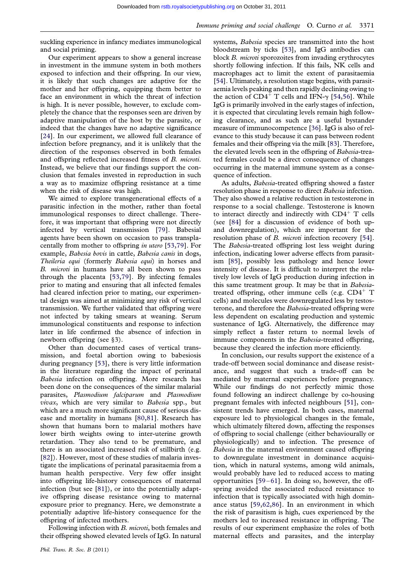suckling experience in infancy mediates immunological and social priming.

Our experiment appears to show a general increase in investment in the immune system in both mothers exposed to infection and their offspring. In our view, it is likely that such changes are adaptive for the mother and her offspring, equipping them better to face an environment in which the threat of infection is high. It is never possible, however, to exclude completely the chance that the responses seen are driven by adaptive manipulation of the host by the parasite, or indeed that the changes have no adaptive significance [[24\]](#page-9-0). In our experiment, we allowed full clearance of infection before pregnancy, and it is unlikely that the direction of the responses observed in both females and offspring reflected increased fitness of B. microti. Instead, we believe that our findings support the conclusion that females invested in reproduction in such a way as to maximize offspring resistance at a time when the risk of disease was high.

We aimed to explore transgenerational effects of a parasitic infection in the mother, rather than foetal immunological responses to direct challenge. Therefore, it was important that offspring were not directly infected by vertical transmission [[79\]](#page-11-0). Babesial agents have been shown on occasion to pass transplacentally from mother to offspring in utero [[53,](#page-10-0)[79\]](#page-11-0). For example, Babesia bovis in cattle, Babesia canis in dogs, Theileria equi (formerly Babesia equi) in horses and B. *microti* in humans have all been shown to pass through the placenta [\[53](#page-10-0)[,79](#page-11-0)]. By infecting females prior to mating and ensuring that all infected females had cleared infection prior to mating, our experimental design was aimed at minimizing any risk of vertical transmission. We further validated that offspring were not infected by taking smears at weaning. Serum immunological constituents and response to infection later in life confirmed the absence of infection in newborn offspring (see §3).

Other than documented cases of vertical transmission, and foetal abortion owing to babesiosis during pregnancy [[53](#page-10-0)], there is very little information in the literature regarding the impact of perinatal Babesia infection on offspring. More research has been done on the consequences of the similar malarial parasites, Plasmodium falciparum and Plasmodium vivax, which are very similar to Babesia spp., but which are a much more significant cause of serious disease and mortality in humans [\[80,81](#page-11-0)]. Research has shown that humans born to malarial mothers have lower birth weights owing to inter-uterine growth retardation. They also tend to be premature, and there is an associated increased risk of stillbirth (e.g. [[82\]](#page-11-0)). However, most of these studies of malaria investigate the implications of perinatal parasitaemia from a human health perspective. Very few offer insight into offspring life-history consequences of maternal infection (but see [[81\]](#page-11-0)), or into the potentially adaptive offspring disease resistance owing to maternal exposure prior to pregnancy. Here, we demonstrate a potentially adaptive life-history consequence for the offspring of infected mothers.

Following infection with B. microti, both females and their offspring showed elevated levels of IgG. In natural

systems, Babesia species are transmitted into the host bloodstream by ticks [[53\]](#page-10-0), and IgG antibodies can block B. *microti* sporozoites from invading erythrocytes shortly following infection. If this fails, NK cells and macrophages act to limit the extent of parasitaemia [[54\]](#page-10-0). Ultimately, a resolution stage begins, with parasitaemia levels peaking and then rapidly declining owing to the action of  $CD4^+$  T cells and IFN- $\gamma$  [[54,56\]](#page-10-0). While IgG is primarily involved in the early stages of infection, it is expected that circulating levels remain high following clearance, and as such are a useful bystander measure of immunocompetence [\[36](#page-10-0)]. IgG is also of relevance to this study because it can pass between rodent females and their offspring via the milk [[83\]](#page-11-0). Therefore, the elevated levels seen in the offspring of Babesia-treated females could be a direct consequence of changes occurring in the maternal immune system as a consequence of infection.

As adults, Babesia-treated offspring showed a faster resolution phase in response to direct Babesia infection. They also showed a relative reduction in testosterone in response to a social challenge. Testosterone is known to interact directly and indirectly with  $CD4<sup>+</sup>$  T cells (see [\[84](#page-11-0)] for a discussion of evidence of both upand downregulation), which are important for the resolution phase of B. microti infection recovery [\[54](#page-10-0)]. The Babesia-treated offspring lost less weight during infection, indicating lower adverse effects from parasitism [\[85](#page-11-0)], possibly less pathology and hence lower intensity of disease. It is difficult to interpret the relatively low levels of IgG production during infection in this same treatment group. It may be that in Babesiatreated offspring, other immune cells (e.g.  $CD4^+$  T cells) and molecules were downregulated less by testosterone, and therefore the Babesia-treated offspring were less dependent on escalating production and systemic sustenance of IgG. Alternatively, the difference may simply reflect a faster return to normal levels of immune components in the *Babesia*-treated offspring, because they cleared the infection more efficiently.

In conclusion, our results support the existence of a trade-off between social dominance and disease resistance, and suggest that such a trade-off can be mediated by maternal experiences before pregnancy. While our findings do not perfectly mimic those found following an indirect challenge by co-housing pregnant females with infected neighbours [\[51](#page-10-0)], consistent trends have emerged. In both cases, maternal exposure led to physiological changes in the female, which ultimately filtered down, affecting the responses of offspring to social challenge (either behaviourally or physiologically) and to infection. The presence of Babesia in the maternal environment caused offspring to downregulate investment in dominance acquisition, which in natural systems, among wild animals, would probably have led to reduced access to mating opportunities [[59](#page-10-0)–[61\]](#page-10-0). In doing so, however, the offspring avoided the associated reduced resistance to infection that is typically associated with high dominance status [[59,62,](#page-10-0)[86\]](#page-11-0). In an environment in which the risk of parasitism is high, cues experienced by the mothers led to increased resistance in offspring. The results of our experiment emphasize the roles of both maternal effects and parasites, and the interplay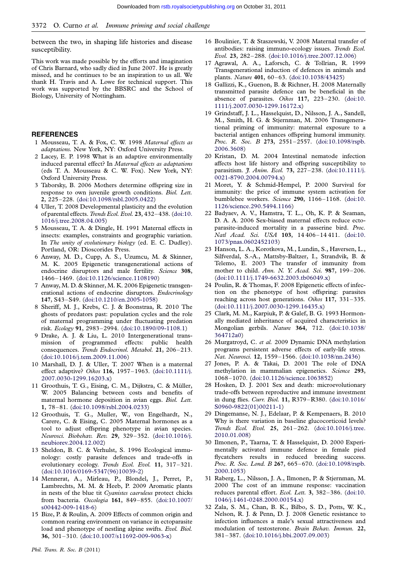<span id="page-9-0"></span>between the two, in shaping life histories and disease susceptibility.

This work was made possible by the efforts and imagination of Chris Barnard, who sadly died in June 2007. He is greatly missed, and he continues to be an inspiration to us all. We thank H. Travis and A. Lowe for technical support. This work was supported by the BBSRC and the School of Biology, University of Nottingham.

### **REFERENCES**

- 1 Mousseau, T. A. & Fox, C. W. 1998 Maternal effects as adaptations. New York, NY: Oxford University Press.
- 2 Lacey, E. P. 1998 What is an adaptive environmentally induced parental effect? In Maternal effects as adaptations (eds T. A. Mousseau & C. W. Fox). New York, NY: Oxford University Press.
- 3 Taborsky, B. 2006 Mothers determine offspring size in response to own juvenile growth conditions. Biol. Lett. 2, 225–228. ([doi:10.1098/rsbl.2005.0422](http://dx.doi.org/10.1098/rsbl.2005.0422))
- 4 Uller, T. 2008 Developmental plasticity and the evolution of parental effects. Trends Ecol. Evol. 23, 432–438. ([doi:10.](http://dx.doi.org/10.1016/j.tree.2008.04.005) [1016/j.tree.2008.04.005\)](http://dx.doi.org/10.1016/j.tree.2008.04.005)
- 5 Mousseau, T. A. & Dingle, H. 1991 Maternal effects in insects: examples, constraints and geographic variation. In The unity of evolutionary biology (ed. E. C. Dudley). Portland, OR: Dioscorides Press.
- 6 Anway, M. D., Cupp, A. S., Uzumcu, M. & Skinner, M. K. 2005 Epigenetic transgenerational actions of endocrine disruptors and male fertility. Science 308, 1466–1469. [\(doi:10.1126/science.1108190\)](http://dx.doi.org/10.1126/science.1108190)
- 7 Anway, M. D. & Skinner, M. K. 2006 Epigenetic transgenerational actions of endocrine disruptors. Endocrinology 147, S43–S49. [\(doi:10.1210/en.2005-1058](http://dx.doi.org/10.1210/en.2005-1058))
- 8 Sheriff, M. J., Krebs, C. J. & Boonstraa, R. 2010 The ghosts of predators past: population cycles and the role of maternal programming under fluctuating predation risk. Ecology 91, 2983–2994. ([doi:10.1890/09-1108.1\)](http://dx.doi.org/10.1890/09-1108.1)
- 9 Drake, A. J. & Liu, L. 2010 Intergenerational transmission of programmed effects: public health consequences. Trends Endocrinol. Metabol. 21, 206–213. ([doi:10.1016/j.tem.2009.11.006](http://dx.doi.org/10.1016/j.tem.2009.11.006))
- 10 Marshall, D. J. & Uller, T. 2007 When is a maternal effect adaptive? Oikos 116, 1957–1963. [\(doi:10.1111/j.](http://dx.doi.org/10.1111/j.2007.0030-1299.16203.x) [2007.0030-1299.16203.x\)](http://dx.doi.org/10.1111/j.2007.0030-1299.16203.x)
- 11 Groothuis, T. G., Eising, C. M., Dijkstra, C. & Müller, W. 2005 Balancing between costs and benefits of maternal hormone deposition in avian eggs. Biol. Lett. 1, 78–81. [\(doi:10.1098/rsbl.2004.0233\)](http://dx.doi.org/10.1098/rsbl.2004.0233)
- 12 Groothuis, T. G., Muller, W., von Engelhardt, N., Carere, C. & Eising, C. 2005 Maternal hormones as a tool to adjust offspring phenotype in avian species. Neurosci. Biobehav. Rev. 29, 329–352. [\(doi:10.1016/j.](http://dx.doi.org/10.1016/j.neubiorev.2004.12.002) [neubiorev.2004.12.002](http://dx.doi.org/10.1016/j.neubiorev.2004.12.002))
- 13 Sheldon, B. C. & Verhulst, S. 1996 Ecological immunology: costly parasite defences and trade-offs in evolutionary ecology. Trends Ecol. Evol. 11, 317–321. [\(doi:10.1016/0169-5347\(96\)10039-2](http://dx.doi.org/10.1016/0169-5347(96)10039-2))
- 14 Mennerat, A., Mirleau, P., Blondel, J., Perret, P., Lambrechts, M. M. & Heeb, P. 2009 Aromatic plants in nests of the blue tit Cyanistes caeruleus protect chicks from bacteria. Oecologia 161, 849–855. [\(doi:10.1007/](http://dx.doi.org/10.1007/s00442-009-1418-6) [s00442-009-1418-6\)](http://dx.doi.org/10.1007/s00442-009-1418-6)
- 15 Bize, P. & Roulin, A. 2009 Effects of common origin and common rearing environment on variance in ectoparasite load and phenotype of nestling alpine swifts. Evol. Biol. 36, 301–310. ([doi:10.1007/s11692-009-9063-x](http://dx.doi.org/10.1007/s11692-009-9063-x))
- 16 Boulinier, T. & Staszewski, V. 2008 Maternal transfer of antibodies: raising immuno-ecology issues. Trends Ecol. Evol. 23, 282–288. [\(doi:10.1016/j.tree.2007.12.006](http://dx.doi.org/10.1016/j.tree.2007.12.006))
- 17 Agrawal, A. A., Laforsch, C. & Tollrian, R. 1999 Transgenerational induction of defences in animals and plants. Nature 401, 60–63. [\(doi:10.1038/43425](http://dx.doi.org/10.1038/43425))
- 18 Gallizzi, K., Guenon, B. & Richner, H. 2008 Maternally transmitted parasite defence can be beneficial in the absence of parasites. Oikos 117, 223–230. ([doi:10.](http://dx.doi.org/10.1111/j.2007.0030-1299.16172.x) [1111/j.2007.0030-1299.16172.x](http://dx.doi.org/10.1111/j.2007.0030-1299.16172.x))
- 19 Grindstaff, J. L., Hasselquist, D., Nilsson, J. A., Sandell, M., Smith, H. G. & Stjernman, M. 2006 Transgenerational priming of immunity: maternal exposure to a bacterial antigen enhances offspring humoral immunity. Proc. R. Soc. B 273, 2551-2557. ([doi:10.1098/rspb.](http://dx.doi.org/10.1098/rspb.2006.3608) [2006.3608](http://dx.doi.org/10.1098/rspb.2006.3608))
- 20 Kristan, D. M. 2004 Intestinal nematode infection affects host life history and offspring susceptibility to parasitism. *J. Anim. Ecol.* 73, 227-238. [\(doi:10.1111/j.](http://dx.doi.org/10.1111/j.0021-8790.2004.00794.x) [0021-8790.2004.00794.x\)](http://dx.doi.org/10.1111/j.0021-8790.2004.00794.x)
- 21 Moret, Y. & Schmid-Hempel, P. 2000 Survival for immunity: the price of immune system activation for bumblebee workers. Science 290, 1166–1168. ([doi:10.](http://dx.doi.org/10.1126/science.290.5494.1166) [1126/science.290.5494.1166\)](http://dx.doi.org/10.1126/science.290.5494.1166)
- 22 Badyaev, A. V., Hamstra, T. L., Oh, K. P. & Seaman, D. A. A. 2006 Sex-biased maternal effects reduce ectoparasite-induced mortality in a passerine bird. Proc. Natl Acad. Sci. USA 103, 14 406–14 411. ([doi:10.](http://dx.doi.org/10.1073/pnas.0602452103) [1073/pnas.0602452103](http://dx.doi.org/10.1073/pnas.0602452103))
- 23 Hanson, L. A., Korotkova, M., Lundin, S., Haversen, L., Silfverdal, S.-A., Mattsby-Baltzer, I., Strandvik, B. & Telemo, E. 2003 The transfer of immunity from mother to child. Ann. N. Y. Acad. Sci. 987, 199–206. [\(doi:10.1111/j.1749-6632.2003.tb06049.x](http://dx.doi.org/10.1111/j.1749-6632.2003.tb06049.x))
- 24 Poulin, R. & Thomas, F. 2008 Epigenetic effects of infection on the phenotype of host offspring: parasites reaching across host generations. Oikos 117, 331–335. [\(doi:10.1111/j.2007.0030-1299.16435.x](http://dx.doi.org/10.1111/j.2007.0030-1299.16435.x))
- 25 Clark, M. M., Karpiuk, P. & Galef, B. G. 1993 Hormonally mediated inheritance of acquired characteristics in Mongolian gerbils. Nature 364, 712. [\(doi:10.1038/](http://dx.doi.org/10.1038/364712a0) [364712a0\)](http://dx.doi.org/10.1038/364712a0)
- 26 Murgatroyd, C. et al. 2009 Dynamic DNA methylation programs persistent adverse effects of early-life stress. Nat. Neurosci. 12, 1559–1566. [\(doi:10.1038/nn.2436](http://dx.doi.org/10.1038/nn.2436))
- 27 Jones, P. A. & Takai, D. 2001 The role of DNA methylation in mammalian epigenetics. Science 293, 1068–1070. ([doi:10.1126/science.1063852](http://dx.doi.org/10.1126/science.1063852))
- 28 Hosken, D. J. 2001 Sex and death: microevolutionary trade-offs between reproductive and immune investment in dung flies. Curr. Biol. 11, R379–R380. [\(doi:10.1016/](http://dx.doi.org/10.1016/S0960-9822(01)00211-1) [S0960-9822\(01\)00211-1\)](http://dx.doi.org/10.1016/S0960-9822(01)00211-1)
- 29 Dingemanse, N. J., Edelaar, P. & Kempenaers, B. 2010 Why is there variation in baseline glucocorticoid levels? Trends Ecol. Evol. 25, 261–262. ([doi:10.1016/j.tree.](http://dx.doi.org/10.1016/j.tree.2010.01.008) [2010.01.008\)](http://dx.doi.org/10.1016/j.tree.2010.01.008)
- 30 Ilmonen, P., Taarna, T. & Hasselquist, D. 2000 Experimentally activated immune defence in female pied flycatchers results in reduced breeding success. Proc. R. Soc. Lond. B 267, 665-670. ([doi:10.1098/rspb.](http://dx.doi.org/10.1098/rspb.2000.1053) [2000.1053](http://dx.doi.org/10.1098/rspb.2000.1053))
- 31 Raberg, L., Nilsson, J. A., Ilmonen, P. & Stjernman, M. 2000 The cost of an immune response: vaccination reduces parental effort. Ecol. Lett. 3, 382-386. ([doi:10.](http://dx.doi.org/10.1046/j.1461-0248.2000.00154.x) [1046/j.1461-0248.2000.00154.x](http://dx.doi.org/10.1046/j.1461-0248.2000.00154.x))
- 32 Zala, S. M., Chan, B. K., Bilbo, S. D., Potts, W. K., Nelson, R. J. & Penn, D. J. 2008 Genetic resistance to infection influences a male's sexual attractiveness and modulation of testosterone. Brain Behav. Immun. 22, 381–387. ([doi:10.1016/j.bbi.2007.09.003\)](http://dx.doi.org/10.1016/j.bbi.2007.09.003)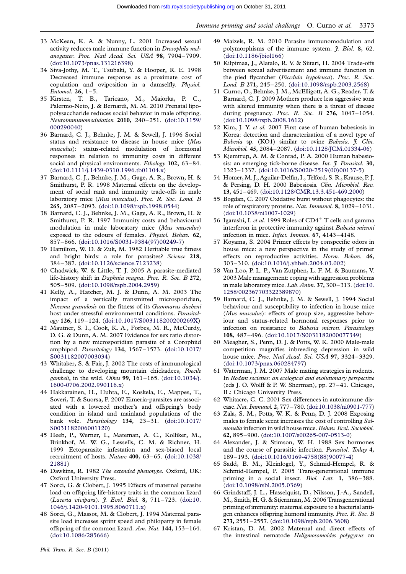- <span id="page-10-0"></span>33 McKean, K. A. & Nunny, L. 2001 Increased sexual activity reduces male immune function in Drosophila melanogaster. Proc. Natl Acad. Sci. USA 98, 7904–7909. ([doi:10.1073/pnas.131216398](http://dx.doi.org/10.1073/pnas.131216398))
- 34 Siva-Jothy, M. T., Tsubaki, Y. & Hooper, R. E. 1998 Decreased immune response as a proximate cost of copulation and oviposition in a damselfly. Physiol. Entomol. 26, 1–5.
- 35 Kirsten, T. B., Taricano, M., Maiorka, P. C., Palermo-Neto, J. & Bernardi, M. M. 2010 Prenatal lipopolysaccharide reduces social behavior in male offspring. Neuroimmunomodulation 2010, 240–251. ([doi:10.1159/](http://dx.doi.org/10.1159/000290040) [000290040](http://dx.doi.org/10.1159/000290040))
- 36 Barnard, C. J., Behnke, J. M. & Sewell, J. 1996 Social status and resistance to disease in house mice (Mus musculus): status-related modulation of hormonal responses in relation to immunity costs in different social and physical environments. Ethology 102, 63-84. ([doi:10.1111/j.1439-0310.1996.tb01104.x\)](http://dx.doi.org/10.1111/j.1439-0310.1996.tb01104.x)
- 37 Barnard, C. J., Behnke, J. M., Gage, A. R., Brown, H. & Smithurst, P. R. 1998 Maternal effects on the development of social rank and immunity trade-offs in male laboratory mice (Mus musculus). Proc. R. Soc. Lond. B 265, 2087–2093. [\(doi:10.1098/rspb.1998.0544](http://dx.doi.org/10.1098/rspb.1998.0544))
- 38 Barnard, C. J., Behnke, J. M., Gage, A. R., Brown, H. & Smithurst, P. R. 1997 Immunity costs and behavioural modulation in male laboratory mice (Mus musculus) exposed to the odours of females. Physiol. Behav. 62, 857–866. ([doi:10.1016/S0031-9384\(97\)00249-7\)](http://dx.doi.org/10.1016/S0031-9384(97)00249-7)
- 39 Hamilton, W. D. & Zuk, M. 1982 Heritable true fitness and bright birds: a role for parasites? Science 218, 384–387. ([doi:10.1126/science.7123238\)](http://dx.doi.org/10.1126/science.7123238)
- 40 Chadwick, W. & Little, T. J. 2005 A parasite-mediated life-history shift in Daphnia magna. Proc. R. Soc. B 272, 505–509. ([doi:10.1098/rspb.2004.2959](http://dx.doi.org/10.1098/rspb.2004.2959))
- 41 Kelly, A., Hatcher, M. J. & Dunn, A. M. 2003 The impact of a vertically transmitted microsporidian, Nosema granulosis on the fitness of its Gammarus duebeni host under stressful environmental conditions. Parasitology 126, 119–124. ([doi:10.1017/S003118200200269X](http://dx.doi.org/10.1017/S003118200200269X))
- 42 Mautner, S. I., Cook, K. A., Forbes, M. R., McCurdy, D. G. & Dunn, A. M. 2007 Evidence for sex ratio distortion by a new microsporidian parasite of a Corophiid amphipod. Parasitology 134, 1567–1573. ([doi:10.1017/](http://dx.doi.org/10.1017/S0031182007003034) [S0031182007003034](http://dx.doi.org/10.1017/S0031182007003034))
- 43 Whitaker, S. & Fair, J. 2002 The costs of immunological challenge to developing mountain chickadees, Poecile gambeli, in the wild. Oikos 99,  $161-165$ . ([doi:10.1034/j.](http://dx.doi.org/10.1034/j.1600-0706.2002.990116.x) [1600-0706.2002.990116.x](http://dx.doi.org/10.1034/j.1600-0706.2002.990116.x))
- 44 Hakkarainen, H., Huhta, E., Koskela, E., Mappes, T., Soveri, T. & Suorsa, P. 2007 Eimeria-parasites are associated with a lowered mother's and offspring's body condition in island and mainland populations of the bank vole. Parasitology 134, 23–31. ([doi:10.1017/](http://dx.doi.org/10.1017/S0031182006001120) [S0031182006001120](http://dx.doi.org/10.1017/S0031182006001120))
- 45 Heeb, P., Werner, I., Mateman, A. C., Kolliker, M., Brinkhof, M. W. G., Lessells, C. M. & Richner, H. 1999 Ectoparasite infestation and sex-biased local recruitment of hosts. Nature 400, 63–65. ([doi:10.1038/](http://dx.doi.org/10.1038/21881) [21881](http://dx.doi.org/10.1038/21881))
- 46 Dawkins, R. 1982 The extended phenotype. Oxford, UK: Oxford University Press.
- 47 Sorci, G. & Clobert, J. 1995 Effects of maternal parasite load on offspring life-history traits in the common lizard (Lacerta vivipara). J. Evol. Biol. 8, 711–723. [\(doi:10.](http://dx.doi.org/10.1046/j.1420-9101.1995.8060711.x) [1046/j.1420-9101.1995.8060711.x\)](http://dx.doi.org/10.1046/j.1420-9101.1995.8060711.x)
- 48 Sorci, G., Massot, M. & Clobert, J. 1994 Maternal parasite load increases sprint speed and philopatry in female offspring of the common lizard. Am. Nat. 144, 153–164. ([doi:10.1086/285666\)](http://dx.doi.org/10.1086/285666)
- 49 Maizels, R. M. 2010 Parasite immunomodulation and polymorphisms of the immune system. *J. Biol.* 8, 62. ([doi:10.1186/jbiol166\)](http://dx.doi.org/10.1186/jbiol166)
- 50 Kilpimaa, J., Alatalo, R. V. & Siitari, H. 2004 Trade-offs between sexual advertisement and immune function in the pied flycatcher (Ficedula hypoleuca). Proc. R. Soc. Lond. B 271, 245–250. [\(doi:10.1098/rspb.2003.2568](http://dx.doi.org/10.1098/rspb.2003.2568))
- 51 Curno, O., Behnke, J. M., McElligott, A. G., Reader, T. & Barnard, C. J. 2009 Mothers produce less aggressive sons with altered immunity when there is a threat of disease during pregnancy. Proc. R. Soc. B  $276$ ,  $1047-1054$ . ([doi:10.1098/rspb.2008.1612\)](http://dx.doi.org/10.1098/rspb.2008.1612)
- 52 Kim, J. Y. et al. 2007 First case of human babesiosis in Korea: detection and characterization of a novel type of Babesia sp. (KO1) similar to ovine Babesia. J. Clin. Microbiol. 45, 2084–2087. [\(doi:10.1128/JCM.01334-06](http://dx.doi.org/10.1128/JCM.01334-06))
- 53 Kjemtrup, A. M. & Conrad, P. A. 2000 Human babesiosis: an emerging tick-borne disease. *Int.*  $\tilde{f}$ . *Parasitol.* 30, 1323–1337. ([doi:10.1016/S0020-7519\(00\)00137-5\)](http://dx.doi.org/10.1016/S0020-7519(00)00137-5)
- 54 Homer, M. J., Aguilar-Delfin, I., Telford, S. R., Krause, P. J. & Persing, D. H. 2000 Babesiosis. Clin. Microbiol. Rev. 13, 451–469. ([doi:10.1128/CMR.13.3.451-469.2000](http://dx.doi.org/10.1128/CMR.13.3.451-469.2000))
- 55 Bogdan, C. 2007 Oxidative burst without phagocytes: the role of respiratory proteins. Nat. Immunol. 8, 1029-1031. ([doi:10.1038/ni1007-1029](http://dx.doi.org/10.1038/ni1007-1029))
- 56 Igarashi, I. et al. 1999 Roles of  $CD4^+$  T cells and gamma interferon in protective immunity against Babesia microti infection in mice. Infect. Immun. 67, 4143–4148.
- 57 Koyama, S. 2004 Primer effects by conspecific odors in house mice: a new perspective in the study of primer effects on reproductive activities. Horm. Behav. 46, 303–310. ([doi:10.1016/j.yhbeh.2004.03.002\)](http://dx.doi.org/10.1016/j.yhbeh.2004.03.002)
- 58 Van Loo, P. L. P., Van Zutphen, L. F. M. & Baumans, V. 2003 Male management: coping with aggression problems in male laboratory mice. Lab. Anim. 37, 300–313. ([doi:10.](http://dx.doi.org/10.1258/002367703322389870) [1258/002367703322389870](http://dx.doi.org/10.1258/002367703322389870))
- 59 Barnard, C. J., Behnke, J. M. & Sewell, J. 1994 Social behaviour and susceptibility to infection in house mice (Mus musculus): effects of group size, aggressive behaviour and status-related hormonal responses prior to infection on resistance to Babesia microti. Parasitology 108, 487–496. [\(doi:10.1017/S0031182000077349](http://dx.doi.org/10.1017/S0031182000077349))
- 60 Meagher, S., Penn, D. J. & Potts, W. K. 2000 Male-male competition magnifies inbreeding depression in wild house mice. Proc. Natl Acad. Sci. USA 97, 3324-3329. ([doi:10.1073/pnas.060284797](http://dx.doi.org/10.1073/pnas.060284797))
- 61 Waterman, J. M. 2007 Male mating strategies in rodents. In Rodent societies: an ecological and evolutionary perspective (eds J. O. Wolff & P. W. Sherman), pp. 27–41. Chicago, IL: Chicago University Press.
- 62 Whitacre, C. C. 2001 Sex differences in autoimmune disease. Nat. Immunol. 2, 777–780. ([doi:10.1038/ni0901-777\)](http://dx.doi.org/10.1038/ni0901-777)
- 63 Zala, S. M., Potts, W. K. & Penn, D. J. 2008 Exposing males to female scent increases the cost of controlling Salmonella infection in wild house mice. Behav. Ecol. Sociobiol. 62, 895–900. [\(doi:10.1007/s00265-007-0513-0\)](http://dx.doi.org/10.1007/s00265-007-0513-0)
- 64 Alexander, J. & Stimson, W. H. 1988 Sex hormones and the course of parasitic infection. Parasitol. Today 4, 189–193. ([doi:10.1016/0169-4758\(88\)90077-4\)](http://dx.doi.org/10.1016/0169-4758(88)90077-4)
- 65 Sadd, B. M., Kleinlogel, Y., Schmid-Hempel, R. & Schmid-Hempel, P. 2005 Trans-generational immune priming in a social insect. Biol. Lett. 1, 386-388. ([doi:10.1098/rsbl.2005.0369](http://dx.doi.org/10.1098/rsbl.2005.0369))
- 66 Grindstaff, J. L., Hasselquist, D., Nilsson, J.-A., Sandell, M., Smith, H. G. & Stjernman, M. 2006 Transgenerational priming of immunity: maternal exposure to a bacterial antigen enhances offspring humoral immunity. Proc. R. Soc. B 273, 2551–2557. ([doi:10.1098/rspb.2006.3608](http://dx.doi.org/10.1098/rspb.2006.3608))
- 67 Kristan, D. M. 2002 Maternal and direct effects of the intestinal nematode Heligmosomoides polygyrus on